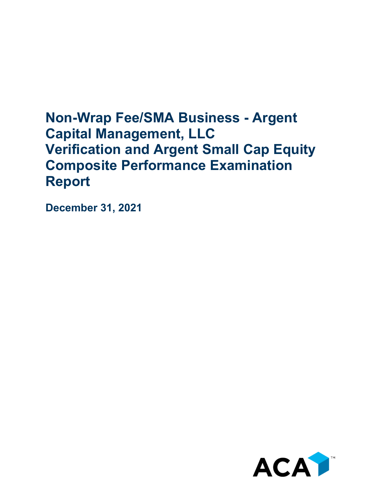# **Non-Wrap Fee/SMA Business - Argent Capital Management, LLC Verification and Argent Small Cap Equity Composite Performance Examination Report**

**December 31, 2021**

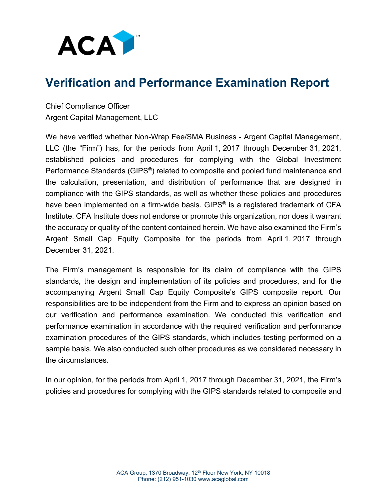

# **Verification and Performance Examination Report**

Chief Compliance Officer Argent Capital Management, LLC

We have verified whether Non-Wrap Fee/SMA Business - Argent Capital Management, LLC (the "Firm") has, for the periods from April 1, 2017 through December 31, 2021, established policies and procedures for complying with the Global Investment Performance Standards (GIPS®) related to composite and pooled fund maintenance and the calculation, presentation, and distribution of performance that are designed in compliance with the GIPS standards, as well as whether these policies and procedures have been implemented on a firm-wide basis. GIPS<sup>®</sup> is a registered trademark of CFA Institute. CFA Institute does not endorse or promote this organization, nor does it warrant the accuracy or quality of the content contained herein. We have also examined the Firm's Argent Small Cap Equity Composite for the periods from April 1, 2017 through December 31, 2021.

The Firm's management is responsible for its claim of compliance with the GIPS standards, the design and implementation of its policies and procedures, and for the accompanying Argent Small Cap Equity Composite's GIPS composite report. Our responsibilities are to be independent from the Firm and to express an opinion based on our verification and performance examination. We conducted this verification and performance examination in accordance with the required verification and performance examination procedures of the GIPS standards, which includes testing performed on a sample basis. We also conducted such other procedures as we considered necessary in the circumstances.

In our opinion, for the periods from April 1, 2017 through December 31, 2021, the Firm's policies and procedures for complying with the GIPS standards related to composite and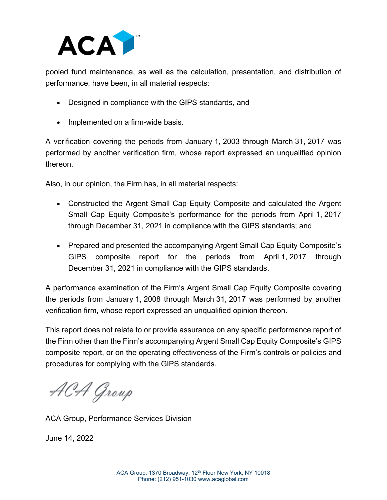

pooled fund maintenance, as well as the calculation, presentation, and distribution of performance, have been, in all material respects:

- Designed in compliance with the GIPS standards, and
- Implemented on a firm-wide basis.

A verification covering the periods from January 1, 2003 through March 31, 2017 was performed by another verification firm, whose report expressed an unqualified opinion thereon.

Also, in our opinion, the Firm has, in all material respects:

- Constructed the Argent Small Cap Equity Composite and calculated the Argent Small Cap Equity Composite's performance for the periods from April 1, 2017 through December 31, 2021 in compliance with the GIPS standards; and
- Prepared and presented the accompanying Argent Small Cap Equity Composite's GIPS composite report for the periods from April 1, 2017 through December 31, 2021 in compliance with the GIPS standards.

A performance examination of the Firm's Argent Small Cap Equity Composite covering the periods from January 1, 2008 through March 31, 2017 was performed by another verification firm, whose report expressed an unqualified opinion thereon.

This report does not relate to or provide assurance on any specific performance report of the Firm other than the Firm's accompanying Argent Small Cap Equity Composite's GIPS composite report, or on the operating effectiveness of the Firm's controls or policies and procedures for complying with the GIPS standards.

ACA Group

ACA Group, Performance Services Division

June 14, 2022